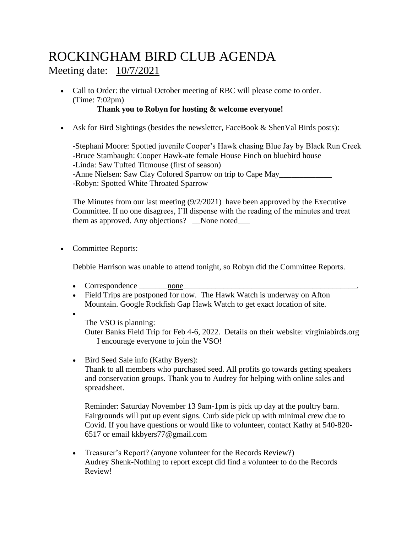## ROCKINGHAM BIRD CLUB AGENDA Meeting date: 10/7/2021

• Call to Order: the virtual October meeting of RBC will please come to order. (Time: 7:02pm)

## **Thank you to Robyn for hosting & welcome everyone!**

• Ask for Bird Sightings (besides the newsletter, FaceBook  $&$  ShenVal Birds posts):

-Stephani Moore: Spotted juvenile Cooper's Hawk chasing Blue Jay by Black Run Creek -Bruce Stambaugh: Cooper Hawk-ate female House Finch on bluebird house -Linda: Saw Tufted Titmouse (first of season) -Anne Nielsen: Saw Clay Colored Sparrow on trip to Cape May\_\_\_\_\_\_\_\_\_\_\_\_\_\_\_\_\_\_\_\_\_\_ -Robyn: Spotted White Throated Sparrow

The Minutes from our last meeting (9/2/2021) have been approved by the Executive Committee. If no one disagrees, I'll dispense with the reading of the minutes and treat them as approved. Any objections? \_None noted\_\_\_\_

• Committee Reports:

Debbie Harrison was unable to attend tonight, so Robyn did the Committee Reports.

- Correspondence none
- Field Trips are postponed for now. The Hawk Watch is underway on Afton Mountain. Google Rockfish Gap Hawk Watch to get exact location of site.
- •
- The VSO is planning:

Outer Banks Field Trip for Feb 4-6, 2022. Details on their website: virginiabirds.org I encourage everyone to join the VSO!

• Bird Seed Sale info (Kathy Byers): Thank to all members who purchased seed. All profits go towards getting speakers and conservation groups. Thank you to Audrey for helping with online sales and spreadsheet.

Reminder: Saturday November 13 9am-1pm is pick up day at the poultry barn. Fairgrounds will put up event signs. Curb side pick up with minimal crew due to Covid. If you have questions or would like to volunteer, contact Kathy at 540-820- 6517 or email [kkbyers77@gmail.com](mailto:kkbyers77@gmail.com)

• Treasurer's Report? (anyone volunteer for the Records Review?) Audrey Shenk-Nothing to report except did find a volunteer to do the Records Review!